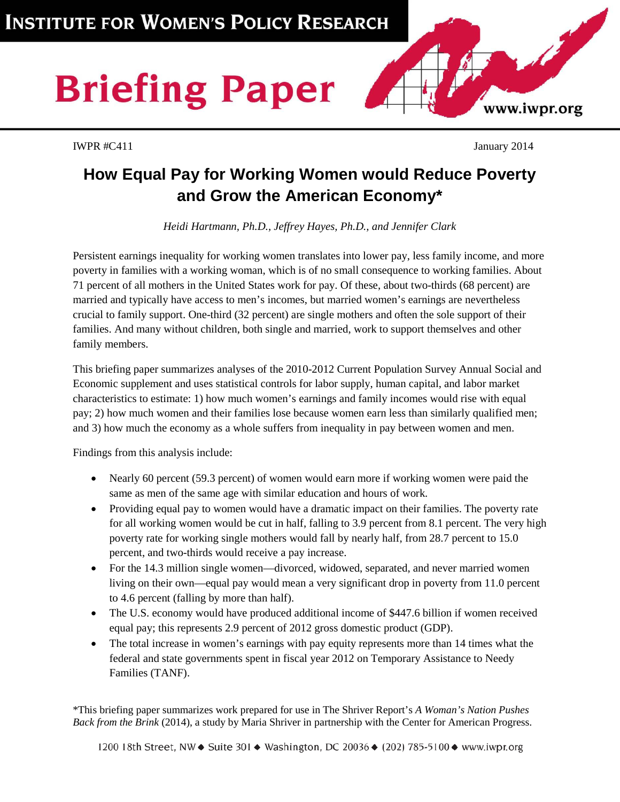# **Briefing Paper**

IWPR #C411 January 2014

www.iwpr.org

# **How Equal Pay for Working Women would Reduce Poverty and Grow the American Economy\***

*Heidi Hartmann, Ph.D., Jeffrey Hayes, Ph.D., and Jennifer Clark*

Persistent earnings inequality for working women translates into lower pay, less family income, and more poverty in families with a working woman, which is of no small consequence to working families. About 71 percent of all mothers in the United States work for pay. Of these, about two-thirds (68 percent) are married and typically have access to men's incomes, but married women's earnings are nevertheless crucial to family support. One-third (32 percent) are single mothers and often the sole support of their families. And many without children, both single and married, work to support themselves and other family members.

This briefing paper summarizes analyses of the 2010-2012 Current Population Survey Annual Social and Economic supplement and uses statistical controls for labor supply, human capital, and labor market characteristics to estimate: 1) how much women's earnings and family incomes would rise with equal pay; 2) how much women and their families lose because women earn less than similarly qualified men; and 3) how much the economy as a whole suffers from inequality in pay between women and men.

Findings from this analysis include:

- Nearly 60 percent (59.3 percent) of women would earn more if working women were paid the same as men of the same age with similar education and hours of work.
- Providing equal pay to women would have a dramatic impact on their families. The poverty rate for all working women would be cut in half, falling to 3.9 percent from 8.1 percent. The very high poverty rate for working single mothers would fall by nearly half, from 28.7 percent to 15.0 percent, and two-thirds would receive a pay increase.
- For the 14.3 million single women—divorced, widowed, separated, and never married women living on their own—equal pay would mean a very significant drop in poverty from 11.0 percent to 4.6 percent (falling by more than half).
- The U.S. economy would have produced additional income of \$447.6 billion if women received equal pay; this represents 2.9 percent of 2012 gross domestic product (GDP).
- The total increase in women's earnings with pay equity represents more than 14 times what the federal and state governments spent in fiscal year 2012 on Temporary Assistance to Needy Families (TANF).

\*This briefing paper summarizes work prepared for use in The Shriver Report's *A Woman's Nation Pushes Back from the Brink* (2014), a study by Maria Shriver in partnership with the Center for American Progress.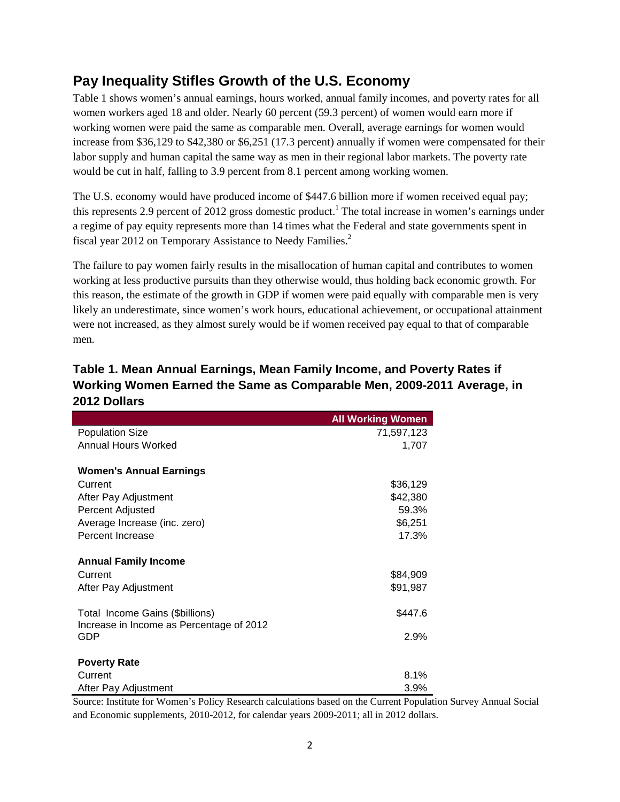#### **Pay Inequality Stifles Growth of the U.S. Economy**

Table 1 shows women's annual earnings, hours worked, annual family incomes, and poverty rates for all women workers aged 18 and older. Nearly 60 percent (59.3 percent) of women would earn more if working women were paid the same as comparable men. Overall, average earnings for women would increase from \$36,129 to \$42,380 or \$6,251 (17.3 percent) annually if women were compensated for their labor supply and human capital the same way as men in their regional labor markets. The poverty rate would be cut in half, falling to 3.9 percent from 8.1 percent among working women.

The U.S. economy would have produced income of \$447.6 billion more if women received equal pay; this represents 2.9 percent of 2012 gross domestic product.<sup>1</sup> The total increase in women's earnings under a regime of pay equity represents more than 14 times what the Federal and state governments spent in fiscal year 2012 on Temporary Assistance to Needy Families.<sup>2</sup>

The failure to pay women fairly results in the misallocation of human capital and contributes to women working at less productive pursuits than they otherwise would, thus holding back economic growth. For this reason, the estimate of the growth in GDP if women were paid equally with comparable men is very likely an underestimate, since women's work hours, educational achievement, or occupational attainment were not increased, as they almost surely would be if women received pay equal to that of comparable men.

| Table 1. Mean Annual Earnings, Mean Family Income, and Poverty Rates if |
|-------------------------------------------------------------------------|
| Working Women Earned the Same as Comparable Men, 2009-2011 Average, in  |
| 2012 Dollars                                                            |

|                                                                                                                | <b>All Working Women</b>                 |
|----------------------------------------------------------------------------------------------------------------|------------------------------------------|
| <b>Population Size</b>                                                                                         | 71,597,123                               |
| <b>Annual Hours Worked</b>                                                                                     | 1,707                                    |
| Women's Annual Earnings<br>Current<br>After Pay Adjustment<br>Percent Adjusted<br>Average Increase (inc. zero) | \$36,129<br>\$42,380<br>59.3%<br>\$6,251 |
| Percent Increase                                                                                               | 17.3%                                    |
| <b>Annual Family Income</b><br>Current                                                                         | \$84,909                                 |
| After Pay Adjustment                                                                                           | \$91,987                                 |
| Total Income Gains (\$billions)<br>Increase in Income as Percentage of 2012                                    | \$447.6                                  |
| GDP                                                                                                            | 2.9%                                     |
| <b>Poverty Rate</b>                                                                                            |                                          |
| Current                                                                                                        | 8.1%                                     |
| After Pay Adjustment                                                                                           | 3.9%                                     |

Source: Institute for Women's Policy Research calculations based on the Current Population Survey Annual Social and Economic supplements, 2010-2012, for calendar years 2009-2011; all in 2012 dollars.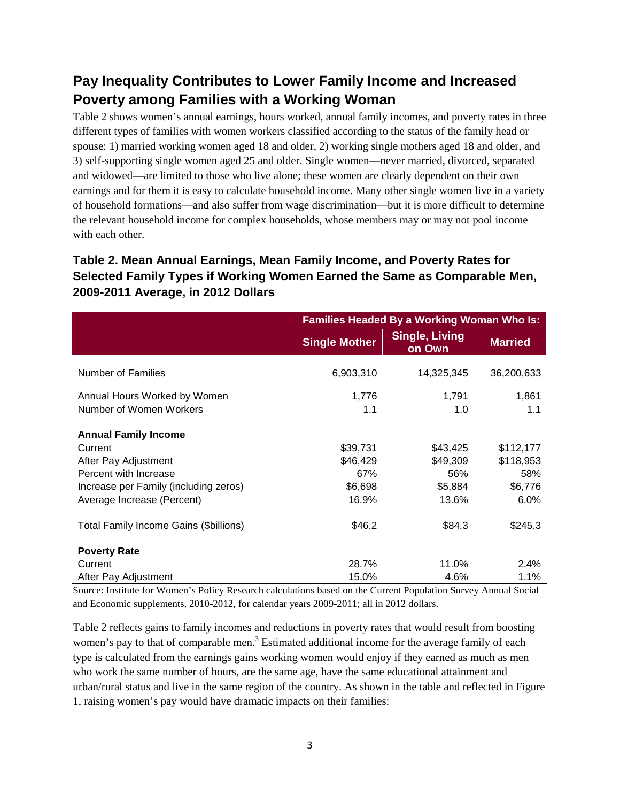### **Pay Inequality Contributes to Lower Family Income and Increased Poverty among Families with a Working Woman**

Table 2 shows women's annual earnings, hours worked, annual family incomes, and poverty rates in three different types of families with women workers classified according to the status of the family head or spouse: 1) married working women aged 18 and older, 2) working single mothers aged 18 and older, and 3) self-supporting single women aged 25 and older. Single women—never married, divorced, separated and widowed—are limited to those who live alone; these women are clearly dependent on their own earnings and for them it is easy to calculate household income. Many other single women live in a variety of household formations—and also suffer from wage discrimination—but it is more difficult to determine the relevant household income for complex households, whose members may or may not pool income with each other.

#### **Table 2. Mean Annual Earnings, Mean Family Income, and Poverty Rates for Selected Family Types if Working Women Earned the Same as Comparable Men, 2009-2011 Average, in 2012 Dollars**

|                                                                                                                                                                | <b>Families Headed By a Working Woman Who Is:</b> |                                                 |                                                  |
|----------------------------------------------------------------------------------------------------------------------------------------------------------------|---------------------------------------------------|-------------------------------------------------|--------------------------------------------------|
|                                                                                                                                                                | <b>Single Mother</b>                              | <b>Single, Living</b><br>on Own                 | <b>Married</b>                                   |
| <b>Number of Families</b>                                                                                                                                      | 6,903,310                                         | 14,325,345                                      | 36,200,633                                       |
| Annual Hours Worked by Women                                                                                                                                   | 1,776                                             | 1,791                                           | 1,861                                            |
| Number of Women Workers                                                                                                                                        | 1.1                                               | 1.0                                             | 1.1                                              |
| <b>Annual Family Income</b><br>Current<br>After Pay Adjustment<br>Percent with Increase<br>Increase per Family (including zeros)<br>Average Increase (Percent) | \$39,731<br>\$46,429<br>67%<br>\$6,698<br>16.9%   | \$43,425<br>\$49,309<br>56%<br>\$5,884<br>13.6% | \$112,177<br>\$118,953<br>58%<br>\$6,776<br>6.0% |
| Total Family Income Gains (\$billions)                                                                                                                         | \$46.2                                            | \$84.3                                          | \$245.3                                          |
| <b>Poverty Rate</b>                                                                                                                                            |                                                   |                                                 |                                                  |
| Current                                                                                                                                                        | 28.7%                                             | 11.0%                                           | 2.4%                                             |
| After Pay Adjustment                                                                                                                                           | 15.0%                                             | 4.6%                                            | 1.1%                                             |

Source: Institute for Women's Policy Research calculations based on the Current Population Survey Annual Social and Economic supplements, 2010-2012, for calendar years 2009-2011; all in 2012 dollars.

Table 2 reflects gains to family incomes and reductions in poverty rates that would result from boosting women's pay to that of comparable men.<sup>3</sup> Estimated additional income for the average family of each type is calculated from the earnings gains working women would enjoy if they earned as much as men who work the same number of hours, are the same age, have the same educational attainment and urban/rural status and live in the same region of the country. As shown in the table and reflected in Figure 1, raising women's pay would have dramatic impacts on their families: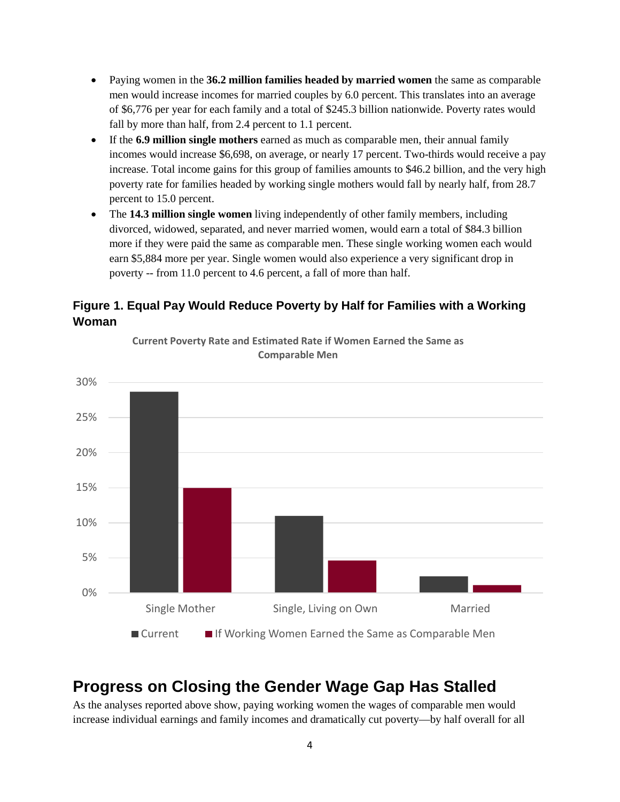- Paying women in the **36.2 million families headed by married women** the same as comparable men would increase incomes for married couples by 6.0 percent. This translates into an average of \$6,776 per year for each family and a total of \$245.3 billion nationwide. Poverty rates would fall by more than half, from 2.4 percent to 1.1 percent.
- If the **6.9 million single mothers** earned as much as comparable men, their annual family incomes would increase \$6,698, on average, or nearly 17 percent. Two-thirds would receive a pay increase. Total income gains for this group of families amounts to \$46.2 billion, and the very high poverty rate for families headed by working single mothers would fall by nearly half, from 28.7 percent to 15.0 percent.
- The **14.3 million single women** living independently of other family members, including divorced, widowed, separated, and never married women, would earn a total of \$84.3 billion more if they were paid the same as comparable men. These single working women each would earn \$5,884 more per year. Single women would also experience a very significant drop in poverty -- from 11.0 percent to 4.6 percent, a fall of more than half.

#### **Figure 1. Equal Pay Would Reduce Poverty by Half for Families with a Working Woman**



**Current Poverty Rate and Estimated Rate if Women Earned the Same as Comparable Men**

## **Progress on Closing the Gender Wage Gap Has Stalled**

As the analyses reported above show, paying working women the wages of comparable men would increase individual earnings and family incomes and dramatically cut poverty—by half overall for all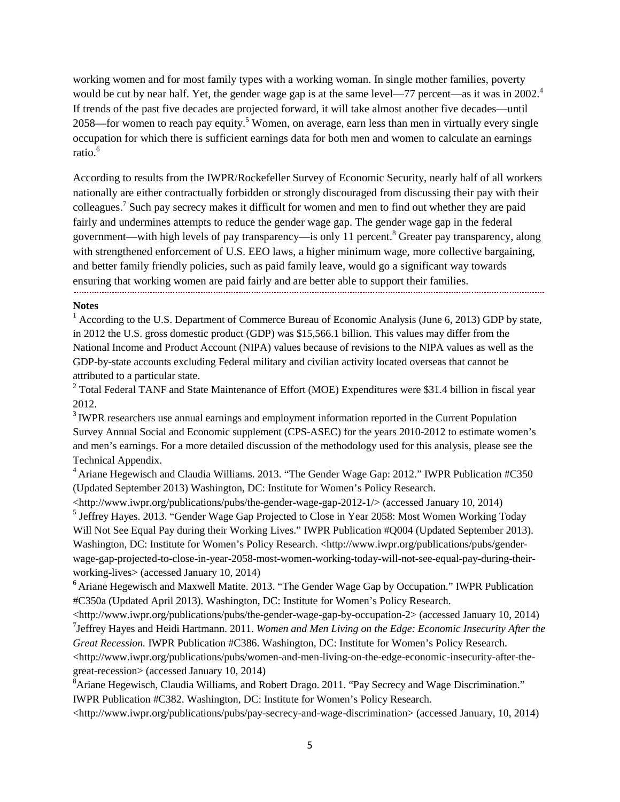working women and for most family types with a working woman. In single mother families, poverty would be cut by near half. Yet, the gender wage gap is at the same level—77 percent—as it was in 2002.<sup>4</sup> If trends of the past five decades are projected forward, it will take almost another five decades—until 2058—for women to reach pay equity.<sup>5</sup> Women, on average, earn less than men in virtually every single occupation for which there is sufficient earnings data for both men and women to calculate an earnings ratio.<sup>6</sup>

According to results from the IWPR/Rockefeller Survey of Economic Security, nearly half of all workers nationally are either contractually forbidden or strongly discouraged from discussing their pay with their colleagues.7 Such pay secrecy makes it difficult for women and men to find out whether they are paid fairly and undermines attempts to reduce the gender wage gap. The gender wage gap in the federal government—with high levels of pay transparency—is only 11 percent. <sup>8</sup> Greater pay transparency, along with strengthened enforcement of U.S. EEO laws, a higher minimum wage, more collective bargaining, and better family friendly policies, such as paid family leave, would go a significant way towards ensuring that working women are paid fairly and are better able to support their families.

#### **Notes**

<sup>1</sup> According to the U.S. Department of Commerce Bureau of Economic Analysis (June 6, 2013) GDP by state, in 2012 the U.S. gross domestic product (GDP) was \$15,566.1 billion. This values may differ from the National Income and Product Account (NIPA) values because of revisions to the NIPA values as well as the GDP-by-state accounts excluding Federal military and civilian activity located overseas that cannot be attributed to a particular state.

 $2$  Total Federal TANF and State Maintenance of Effort (MOE) Expenditures were \$31.4 billion in fiscal year 2012.

<sup>3</sup> IWPR researchers use annual earnings and employment information reported in the Current Population Survey Annual Social and Economic supplement (CPS-ASEC) for the years 2010-2012 to estimate women's and men's earnings. For a more detailed discussion of the methodology used for this analysis, please see the Technical Appendix.

 $4$  Ariane Hegewisch and Claudia Williams. 2013. "The Gender Wage Gap: 2012." IWPR Publication #C350 (Updated September 2013) Washington, DC: Institute for Women's Policy Research.

 $\langle$ http://www.iwpr.org/publications/pubs/the-gender-wage-gap-2012-1/ $>$  (accessed January 10, 2014) <sup>5</sup> Jeffrey Hayes. 2013. "Gender Wage Gap Projected to Close in Year 2058: Most Women Working Today Will Not See Equal Pay during their Working Lives." IWPR Publication #Q004 (Updated September 2013). Washington, DC: Institute for Women's Policy Research. <http://www.iwpr.org/publications/pubs/genderwage-gap-projected-to-close-in-year-2058-most-women-working-today-will-not-see-equal-pay-during-theirworking-lives> (accessed January 10, 2014)

<sup>6</sup> Ariane Hegewisch and Maxwell Matite. 2013. "The Gender Wage Gap by Occupation." IWPR Publication #C350a (Updated April 2013). Washington, DC: Institute for Women's Policy Research.

<http://www.iwpr.org/publications/pubs/the-gender-wage-gap-by-occupation-2> (accessed January 10, 2014) 7 Jeffrey Hayes and Heidi Hartmann. 2011. *Women and Men Living on the Edge: Economic Insecurity After the Great Recession.* IWPR Publication #C386. Washington, DC: Institute for Women's Policy Research.

 $\langle$ http://www.iwpr.org/publications/pubs/women-and-men-living-on-the-edge-economic-insecurity-after-thegreat-recession> (accessed January 10, 2014)

<sup>8</sup> Ariane Hegewisch, Claudia Williams, and Robert Drago. 2011. "Pay Secrecy and Wage Discrimination." IWPR Publication #C382. Washington, DC: Institute for Women's Policy Research.

<http://www.iwpr.org/publications/pubs/pay-secrecy-and-wage-discrimination> (accessed January, 10, 2014)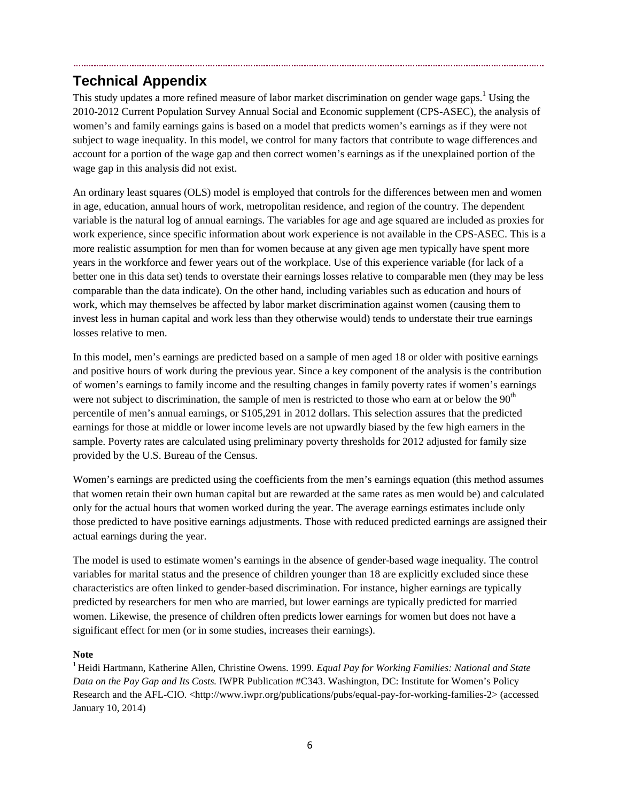## **Technical Appendix**

This study updates a more refined measure of labor market discrimination on gender wage gaps.<sup>1</sup> Using the 2010-2012 Current Population Survey Annual Social and Economic supplement (CPS-ASEC), the analysis of women's and family earnings gains is based on a model that predicts women's earnings as if they were not subject to wage inequality. In this model, we control for many factors that contribute to wage differences and account for a portion of the wage gap and then correct women's earnings as if the unexplained portion of the wage gap in this analysis did not exist.

An ordinary least squares (OLS) model is employed that controls for the differences between men and women in age, education, annual hours of work, metropolitan residence, and region of the country. The dependent variable is the natural log of annual earnings. The variables for age and age squared are included as proxies for work experience, since specific information about work experience is not available in the CPS-ASEC. This is a more realistic assumption for men than for women because at any given age men typically have spent more years in the workforce and fewer years out of the workplace. Use of this experience variable (for lack of a better one in this data set) tends to overstate their earnings losses relative to comparable men (they may be less comparable than the data indicate). On the other hand, including variables such as education and hours of work, which may themselves be affected by labor market discrimination against women (causing them to invest less in human capital and work less than they otherwise would) tends to understate their true earnings losses relative to men.

In this model, men's earnings are predicted based on a sample of men aged 18 or older with positive earnings and positive hours of work during the previous year. Since a key component of the analysis is the contribution of women's earnings to family income and the resulting changes in family poverty rates if women's earnings were not subject to discrimination, the sample of men is restricted to those who earn at or below the 90<sup>th</sup> percentile of men's annual earnings, or \$105,291 in 2012 dollars. This selection assures that the predicted earnings for those at middle or lower income levels are not upwardly biased by the few high earners in the sample. Poverty rates are calculated using preliminary poverty thresholds for 2012 adjusted for family size provided by the U.S. Bureau of the Census.

Women's earnings are predicted using the coefficients from the men's earnings equation (this method assumes that women retain their own human capital but are rewarded at the same rates as men would be) and calculated only for the actual hours that women worked during the year. The average earnings estimates include only those predicted to have positive earnings adjustments. Those with reduced predicted earnings are assigned their actual earnings during the year.

The model is used to estimate women's earnings in the absence of gender-based wage inequality. The control variables for marital status and the presence of children younger than 18 are explicitly excluded since these characteristics are often linked to gender-based discrimination. For instance, higher earnings are typically predicted by researchers for men who are married, but lower earnings are typically predicted for married women. Likewise, the presence of children often predicts lower earnings for women but does not have a significant effect for men (or in some studies, increases their earnings).

#### **Note**

<sup>1</sup> Heidi Hartmann, Katherine Allen, Christine Owens. 1999. *Equal Pay for Working Families: National and State Data on the Pay Gap and Its Costs.* IWPR Publication #C343. Washington, DC: Institute for Women's Policy Research and the AFL-CIO. <http://www.iwpr.org/publications/pubs/equal-pay-for-working-families-2> (accessed January 10, 2014)